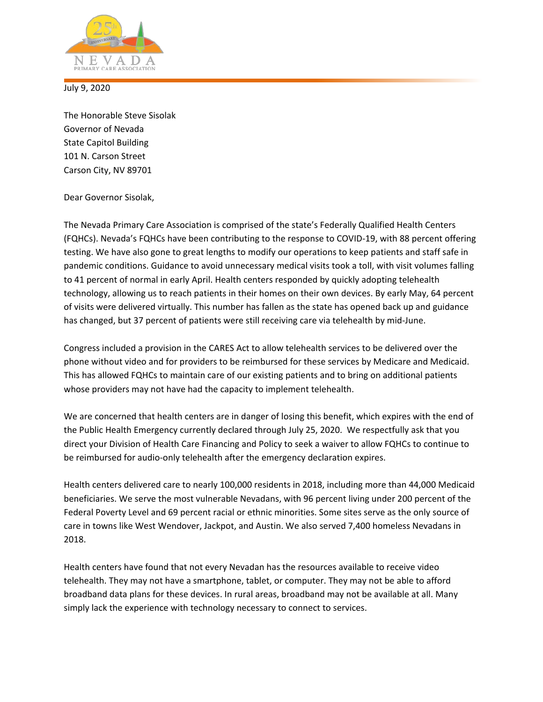

July 9, 2020

The Honorable Steve Sisolak Governor of Nevada State Capitol Building 101 N. Carson Street Carson City, NV 89701

Dear Governor Sisolak,

The Nevada Primary Care Association is comprised of the state's Federally Qualified Health Centers (FQHCs). Nevada's FQHCs have been contributing to the response to COVID-19, with 88 percent offering testing. We have also gone to great lengths to modify our operations to keep patients and staff safe in pandemic conditions. Guidance to avoid unnecessary medical visits took a toll, with visit volumes falling to 41 percent of normal in early April. Health centers responded by quickly adopting telehealth technology, allowing us to reach patients in their homes on their own devices. By early May, 64 percent of visits were delivered virtually. This number has fallen as the state has opened back up and guidance has changed, but 37 percent of patients were still receiving care via telehealth by mid-June.

Congress included a provision in the CARES Act to allow telehealth services to be delivered over the phone without video and for providers to be reimbursed for these services by Medicare and Medicaid. This has allowed FQHCs to maintain care of our existing patients and to bring on additional patients whose providers may not have had the capacity to implement telehealth.

We are concerned that health centers are in danger of losing this benefit, which expires with the end of the Public Health Emergency currently declared through July 25, 2020. We respectfully ask that you direct your Division of Health Care Financing and Policy to seek a waiver to allow FQHCs to continue to be reimbursed for audio-only telehealth after the emergency declaration expires.

Health centers delivered care to nearly 100,000 residents in 2018, including more than 44,000 Medicaid beneficiaries. We serve the most vulnerable Nevadans, with 96 percent living under 200 percent of the Federal Poverty Level and 69 percent racial or ethnic minorities. Some sites serve as the only source of care in towns like West Wendover, Jackpot, and Austin. We also served 7,400 homeless Nevadans in 2018.

Health centers have found that not every Nevadan has the resources available to receive video telehealth. They may not have a smartphone, tablet, or computer. They may not be able to afford broadband data plans for these devices. In rural areas, broadband may not be available at all. Many simply lack the experience with technology necessary to connect to services.